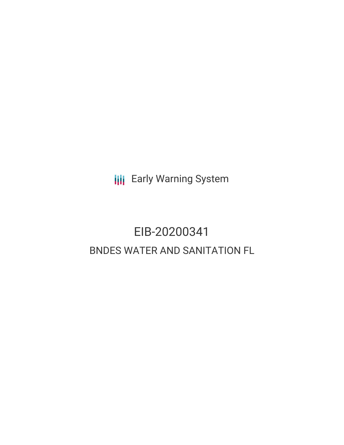**III** Early Warning System

# EIB-20200341 BNDES WATER AND SANITATION FL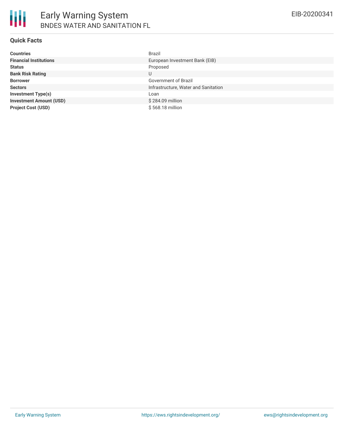

### **Quick Facts**

| <b>Countries</b>               | <b>Brazil</b>                        |
|--------------------------------|--------------------------------------|
| <b>Financial Institutions</b>  | European Investment Bank (EIB)       |
| <b>Status</b>                  | Proposed                             |
| <b>Bank Risk Rating</b>        | U                                    |
| <b>Borrower</b>                | Government of Brazil                 |
| <b>Sectors</b>                 | Infrastructure, Water and Sanitation |
| <b>Investment Type(s)</b>      | Loan                                 |
| <b>Investment Amount (USD)</b> | \$284.09 million                     |
| <b>Project Cost (USD)</b>      | \$568.18 million                     |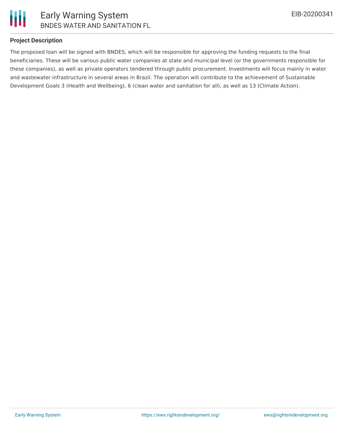

### **Project Description**

The proposed loan will be signed with BNDES, which will be responsible for approving the funding requests to the final beneficiaries. These will be various public water companies at state and municipal level (or the governments responsible for these companies), as well as private operators tendered through public procurement. Investments will focus mainly in water and wastewater infrastructure in several areas in Brazil. The operation will contribute to the achievement of Sustainable Development Goals 3 (Health and Wellbeing), 6 (clean water and sanitation for all), as well as 13 (Climate Action).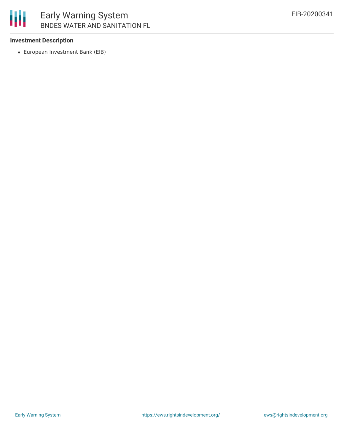

## Early Warning System BNDES WATER AND SANITATION FL

### **Investment Description**

European Investment Bank (EIB)